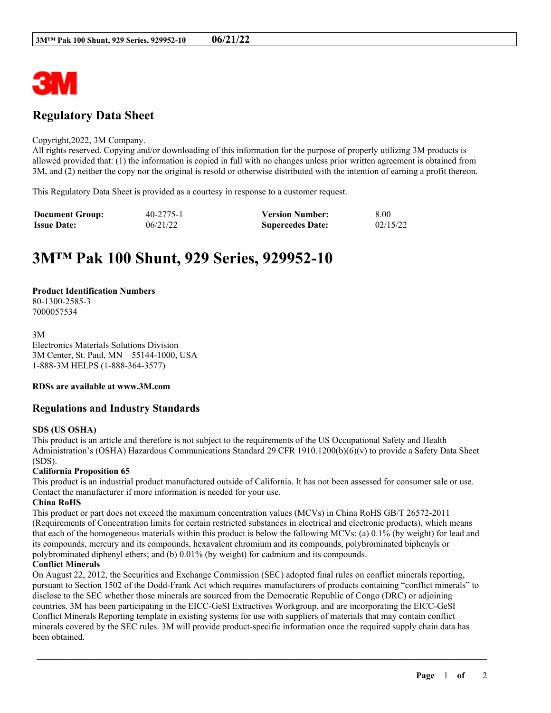

# **Regulatory Data Sheet**

#### Copyright,2022, 3M Company.

All rights reserved. Copying and/or downloading of this information for the purpose of properly utilizing 3M products is allowed provided that: (1) the information is copied in full with no changes unless prior written agreement is obtained from 3M, and (2) neither the copy nor the original is resold or otherwise distributed with the intention of earning a profit thereon.

This Regulatory Data Sheet is provided as a courtesy in response to a customer request.

| <b>Document Group:</b> | 40-2775-1 | <b>Version Number:</b>  | 8.00     |
|------------------------|-----------|-------------------------|----------|
| <b>Issue Date:</b>     | 06/21/22  | <b>Supercedes Date:</b> | 02/15/22 |

# **3M™ Pak 100 Shunt, 929 Series, 929952-10**

## **Product Identification Numbers**

80-1300-2585-3 7000057534

3M Electronics Materials Solutions Division 3M Center, St. Paul, MN 55144-1000, USA 1-888-3M HELPS (1-888-364-3577)

# **RDSs are available at www.3M.com**

# **Regulations and Industry Standards**

# **SDS (US OSHA)**

This product is an article and therefore is not subject to the requirements of the US Occupational Safety and Health Administration's (OSHA) Hazardous Communications Standard 29 CFR 1910.1200(b)(6)(v) to provide a Safety Data Sheet (SDS).

# **California Proposition 65**

This product is an industrial product manufactured outside of California. It has not been assessed for consumer sale or use. Contact the manufacturer if more information is needed for your use.

### **China RoHS**

This product or part does not exceed the maximum concentration values (MCVs) in China RoHS GB/T 26572-2011 (Requirements of Concentration limits for certain restricted substances in electrical and electronic products), which means that each of the homogeneous materials within this product is below the following MCVs: (a) 0.1% (by weight) for lead and its compounds, mercury and its compounds, hexavalent chromium and its compounds, polybrominated biphenyls or polybrominated diphenyl ethers; and (b) 0.01% (by weight) for cadmium and its compounds.

### **Conflict Minerals**

On August 22, 2012, the Securities and Exchange Commission (SEC) adopted final rules on conflict minerals reporting, pursuant to Section 1502 of the Dodd-Frank Act which requires manufacturers of products containing "conflict minerals" to disclose to the SEC whether those minerals are sourced from the Democratic Republic of Congo (DRC) or adjoining countries. 3M has been participating in the EICC-GeSI Extractives Workgroup, and are incorporating the EICC-GeSI Conflict Minerals Reporting template in existing systems for use with suppliers of materials that may contain conflict minerals covered by the SEC rules. 3M will provide product-specific information once the required supply chain data has been obtained.

\_\_\_\_\_\_\_\_\_\_\_\_\_\_\_\_\_\_\_\_\_\_\_\_\_\_\_\_\_\_\_\_\_\_\_\_\_\_\_\_\_\_\_\_\_\_\_\_\_\_\_\_\_\_\_\_\_\_\_\_\_\_\_\_\_\_\_\_\_\_\_\_\_\_\_\_\_\_\_\_\_\_\_\_\_\_\_\_\_\_